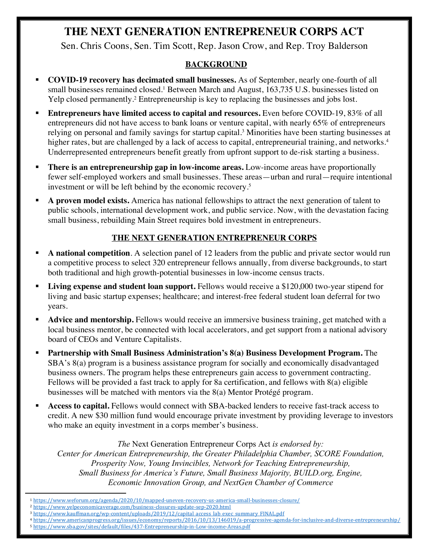# **THE NEXT GENERATION ENTREPRENEUR CORPS ACT**

Sen. Chris Coons, Sen. Tim Scott, Rep. Jason Crow, and Rep. Troy Balderson

## **BACKGROUND**

- § **COVID-19 recovery has decimated small businesses.** As of September, nearly one-fourth of all small businesses remained closed.<sup>1</sup> Between March and August, 163,735 U.S. businesses listed on Yelp closed permanently. <sup>2</sup> Entrepreneurship is key to replacing the businesses and jobs lost.
- § **Entrepreneurs have limited access to capital and resources.** Even before COVID-19, 83% of all entrepreneurs did not have access to bank loans or venture capital, with nearly 65% of entrepreneurs relying on personal and family savings for startup capital.3 Minorities have been starting businesses at higher rates, but are challenged by a lack of access to capital, entrepreneurial training, and networks.<sup>4</sup> Underrepresented entrepreneurs benefit greatly from upfront support to de-risk starting a business.
- **There is an entrepreneurship gap in low-income areas.** Low-income areas have proportionally fewer self-employed workers and small businesses. These areas—urban and rural—require intentional investment or will be left behind by the economic recovery.5
- § **A proven model exists.** America has national fellowships to attract the next generation of talent to public schools, international development work, and public service. Now, with the devastation facing small business, rebuilding Main Street requires bold investment in entrepreneurs.

## **THE NEXT GENERATION ENTREPRENEUR CORPS**

- § **A national competition**. A selection panel of 12 leaders from the public and private sector would run a competitive process to select 320 entrepreneur fellows annually, from diverse backgrounds, to start both traditional and high growth-potential businesses in low-income census tracts.
- § **Living expense and student loan support.** Fellows would receive a \$120,000 two-year stipend for living and basic startup expenses; healthcare; and interest-free federal student loan deferral for two years.
- § **Advice and mentorship.** Fellows would receive an immersive business training, get matched with a local business mentor, be connected with local accelerators, and get support from a national advisory board of CEOs and Venture Capitalists.
- § **Partnership with Small Business Administration's 8(a) Business Development Program.** The SBA's 8(a) program is a business assistance program for socially and economically disadvantaged business owners. The program helps these entrepreneurs gain access to government contracting. Fellows will be provided a fast track to apply for 8a certification, and fellows with 8(a) eligible businesses will be matched with mentors via the 8(a) Mentor Protégé program.
- § **Access to capital.** Fellows would connect with SBA-backed lenders to receive fast-track access to credit. A new \$30 million fund would encourage private investment by providing leverage to investors who make an equity investment in a corps member's business.

*The* Next Generation Entrepreneur Corps Act *is endorsed by: Center for American Entrepreneurship, the Greater Philadelphia Chamber, SCORE Foundation, Prosperity Now, Young Invincibles, Network for Teaching Entrepreneurship, Small Business for America's Future, Small Business Majority, BUILD.org, Engine, Economic Innovation Group, and NextGen Chamber of Commerce* 

<sup>1</sup> https://www.weforum.org/agenda/2020/10/mapped-uneven-recovery-us-america-small-businesses-closure/

<sup>2</sup> https://www.yelpeconomicaverage.com/business-closures-update-sep-2020.html

<sup>&</sup>lt;sup>3</sup> https://www.kauffman.org/wp-content/uploads/2019/12/capital access lab exec summary FINAL.pdf

<sup>4</sup> https://www.americanprogress.org/issues/economy/reports/2016/10/13/146019/a-progressive-agenda-for-inclusive-and-diverse-entrepreneurship/

<sup>5</sup> https://www.sba.gov/sites/default/files/437-Entrepreneurship-in-Low-income-Areas.pdf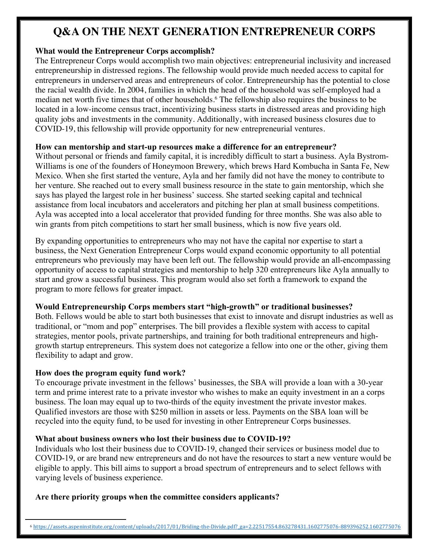# **Q&A ON THE NEXT GENERATION ENTREPRENEUR CORPS**

#### **What would the Entrepreneur Corps accomplish?**

The Entrepreneur Corps would accomplish two main objectives: entrepreneurial inclusivity and increased entrepreneurship in distressed regions. The fellowship would provide much needed access to capital for entrepreneurs in underserved areas and entrepreneurs of color. Entrepreneurship has the potential to close the racial wealth divide. In 2004, families in which the head of the household was self-employed had a median net worth five times that of other households.<sup>6</sup> The fellowship also requires the business to be located in a low-income census tract, incentivizing business starts in distressed areas and providing high quality jobs and investments in the community. Additionally, with increased business closures due to COVID-19, this fellowship will provide opportunity for new entrepreneurial ventures.

## **How can mentorship and start-up resources make a difference for an entrepreneur?**

Without personal or friends and family capital, it is incredibly difficult to start a business. Ayla Bystrom-Williams is one of the founders of Honeymoon Brewery, which brews Hard Kombucha in Santa Fe, New Mexico. When she first started the venture, Ayla and her family did not have the money to contribute to her venture. She reached out to every small business resource in the state to gain mentorship, which she says has played the largest role in her business' success. She started seeking capital and technical assistance from local incubators and accelerators and pitching her plan at small business competitions. Ayla was accepted into a local accelerator that provided funding for three months. She was also able to win grants from pitch competitions to start her small business, which is now five years old.

By expanding opportunities to entrepreneurs who may not have the capital nor expertise to start a business, the Next Generation Entrepreneur Corps would expand economic opportunity to all potential entrepreneurs who previously may have been left out. The fellowship would provide an all-encompassing opportunity of access to capital strategies and mentorship to help 320 entrepreneurs like Ayla annually to start and grow a successful business. This program would also set forth a framework to expand the program to more fellows for greater impact.

## **Would Entrepreneurship Corps members start "high-growth" or traditional businesses?**

Both. Fellows would be able to start both businesses that exist to innovate and disrupt industries as well as traditional, or "mom and pop" enterprises. The bill provides a flexible system with access to capital strategies, mentor pools, private partnerships, and training for both traditional entrepreneurs and highgrowth startup entrepreneurs. This system does not categorize a fellow into one or the other, giving them flexibility to adapt and grow.

## **How does the program equity fund work?**

To encourage private investment in the fellows' businesses, the SBA will provide a loan with a 30-year term and prime interest rate to a private investor who wishes to make an equity investment in an a corps business. The loan may equal up to two-thirds of the equity investment the private investor makes. Qualified investors are those with \$250 million in assets or less. Payments on the SBA loan will be recycled into the equity fund, to be used for investing in other Entrepreneur Corps businesses.

## **What about business owners who lost their business due to COVID-19?**

Individuals who lost their business due to COVID-19, changed their services or business model due to COVID-19, or are brand new entrepreneurs and do not have the resources to start a new venture would be eligible to apply. This bill aims to support a broad spectrum of entrepreneurs and to select fellows with varying levels of business experience.

## **Are there priority groups when the committee considers applicants?**

<sup>6</sup> https://assets.aspeninstitute.org/content/uploads/2017/01/Briding-the-Divide.pdf?\_ga=2.22517554.863278431.1602775076-889396252.1602775076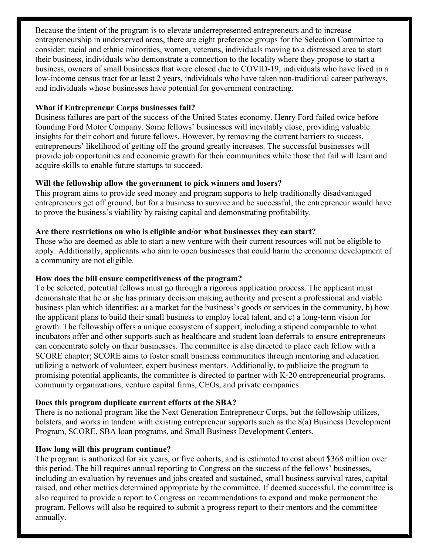Because the intent of the program is to elevate underrepresented entrepreneurs and to increase entrepreneurship in underserved areas, there are eight preference groups for the Selection Committee to consider: racial and ethnic minorities, women, veterans, individuals moving to a distressed area to start their business, individuals who demonstrate a connection to the locality where they propose to start a business, owners of small businesses that were closed due to COVID-19, individuals who have lived in a low-income census tract for at least 2 years, individuals who have taken non-traditional career pathways, and individuals whose businesses have potential for government contracting.

#### **What if Entrepreneur Corps businesses fail?**

Business failures are part of the success of the United States economy. Henry Ford failed twice before founding Ford Motor Company. Some fellows' businesses will inevitably close, providing valuable insights for their cohort and future fellows. However, by removing the current barriers to success, entrepreneurs' likelihood of getting off the ground greatly increases. The successful businesses will provide job opportunities and economic growth for their communities while those that fail will learn and acquire skills to enable future startups to succeed.

#### **Will the fellowship allow the government to pick winners and losers?**

This program aims to provide seed money and program supports to help traditionally disadvantaged entrepreneurs get off ground, but for a business to survive and be successful, the entrepreneur would have to prove the business's viability by raising capital and demonstrating profitability.

#### **Are there restrictions on who is eligible and/or what businesses they can start?**

Those who are deemed as able to start a new venture with their current resources will not be eligible to apply. Additionally, applicants who aim to open businesses that could harm the economic development of a community are not eligible.

#### **How does the bill ensure competitiveness of the program?**

To be selected, potential fellows must go through a rigorous application process. The applicant must demonstrate that he or she has primary decision making authority and present a professional and viable business plan which identifies: a) a market for the business's goods or services in the community, b) how the applicant plans to build their small business to employ local talent, and c) a long-term vision for growth. The fellowship offers a unique ecosystem of support, including a stipend comparable to what incubators offer and other supports such as healthcare and student loan deferrals to ensure entrepreneurs can concentrate solely on their businesses. The committee is also directed to place each fellow with a SCORE chapter; SCORE aims to foster small business communities through mentoring and education utilizing a network of volunteer, expert business mentors. Additionally, to publicize the program to promising potential applicants, the committee is directed to partner with K-20 entrepreneurial programs, community organizations, venture capital firms, CEOs, and private companies.

#### **Does this program duplicate current efforts at the SBA?**

There is no national program like the Next Generation Entrepreneur Corps, but the fellowship utilizes, bolsters, and works in tandem with existing entrepreneur supports such as the 8(a) Business Development Program, SCORE, SBA loan programs, and Small Business Development Centers.

#### **How long will this program continue?**

The program is authorized for six years, or five cohorts, and is estimated to cost about \$368 million over this period. The bill requires annual reporting to Congress on the success of the fellows' businesses, including an evaluation by revenues and jobs created and sustained, small business survival rates, capital raised, and other metrics determined appropriate by the committee. If deemed successful, the committee is also required to provide a report to Congress on recommendations to expand and make permanent the program. Fellows will also be required to submit a progress report to their mentors and the committee annually.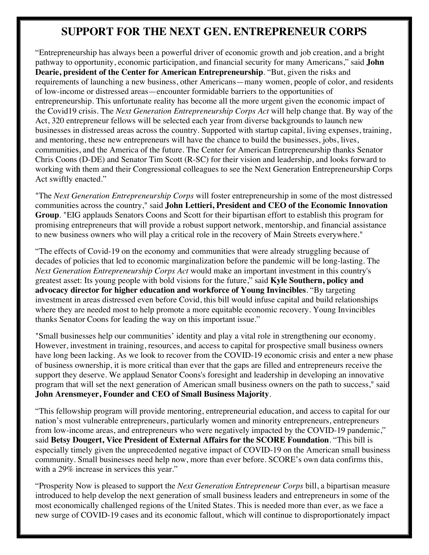# **SUPPORT FOR THE NEXT GEN. ENTREPRENEUR CORPS**

"Entrepreneurship has always been a powerful driver of economic growth and job creation, and a bright pathway to opportunity, economic participation, and financial security for many Americans," said **John Dearie, president of the Center for American Entrepreneurship**. "But, given the risks and requirements of launching a new business, other Americans—many women, people of color, and residents of low-income or distressed areas—encounter formidable barriers to the opportunities of entrepreneurship. This unfortunate reality has become all the more urgent given the economic impact of the Covid19 crisis. The *Next Generation Entrepreneurship Corps Act* will help change that. By way of the Act, 320 entrepreneur fellows will be selected each year from diverse backgrounds to launch new businesses in distressed areas across the country. Supported with startup capital, living expenses, training, and mentoring, these new entrepreneurs will have the chance to build the businesses, jobs, lives, communities, and the America of the future. The Center for American Entrepreneurship thanks Senator Chris Coons (D-DE) and Senator Tim Scott (R-SC) for their vision and leadership, and looks forward to working with them and their Congressional colleagues to see the Next Generation Entrepreneurship Corps Act swiftly enacted."

"The *Next Generation Entrepreneurship Corps* will foster entrepreneurship in some of the most distressed communities across the country," said **John Lettieri, President and CEO of the Economic Innovation Group**. "EIG applauds Senators Coons and Scott for their bipartisan effort to establish this program for promising entrepreneurs that will provide a robust support network, mentorship, and financial assistance to new business owners who will play a critical role in the recovery of Main Streets everywhere."

"The effects of Covid-19 on the economy and communities that were already struggling because of decades of policies that led to economic marginalization before the pandemic will be long-lasting. The *Next Generation Entrepreneurship Corps Act* would make an important investment in this country's greatest asset: Its young people with bold visions for the future," said **Kyle Southern, policy and advocacy director for higher education and workforce of Young Invincibles**. "By targeting investment in areas distressed even before Covid, this bill would infuse capital and build relationships where they are needed most to help promote a more equitable economic recovery. Young Invincibles thanks Senator Coons for leading the way on this important issue."

"Small businesses help our communities' identity and play a vital role in strengthening our economy. However, investment in training, resources, and access to capital for prospective small business owners have long been lacking. As we look to recover from the COVID-19 economic crisis and enter a new phase of business ownership, it is more critical than ever that the gaps are filled and entrepreneurs receive the support they deserve. We applaud Senator Coons's foresight and leadership in developing an innovative program that will set the next generation of American small business owners on the path to success," said **John Arensmeyer, Founder and CEO of Small Business Majority**.

"This fellowship program will provide mentoring, entrepreneurial education, and access to capital for our nation's most vulnerable entrepreneurs, particularly women and minority entrepreneurs, entrepreneurs from low-income areas, and entrepreneurs who were negatively impacted by the COVID-19 pandemic," said **Betsy Dougert, Vice President of External Affairs for the SCORE Foundation**. "This bill is especially timely given the unprecedented negative impact of COVID-19 on the American small business community. Small businesses need help now, more than ever before. SCORE's own data confirms this, with a 29% increase in services this year."

"Prosperity Now is pleased to support the *Next Generation Entrepreneur Corps* bill, a bipartisan measure introduced to help develop the next generation of small business leaders and entrepreneurs in some of the most economically challenged regions of the United States. This is needed more than ever, as we face a new surge of COVID-19 cases and its economic fallout, which will continue to disproportionately impact